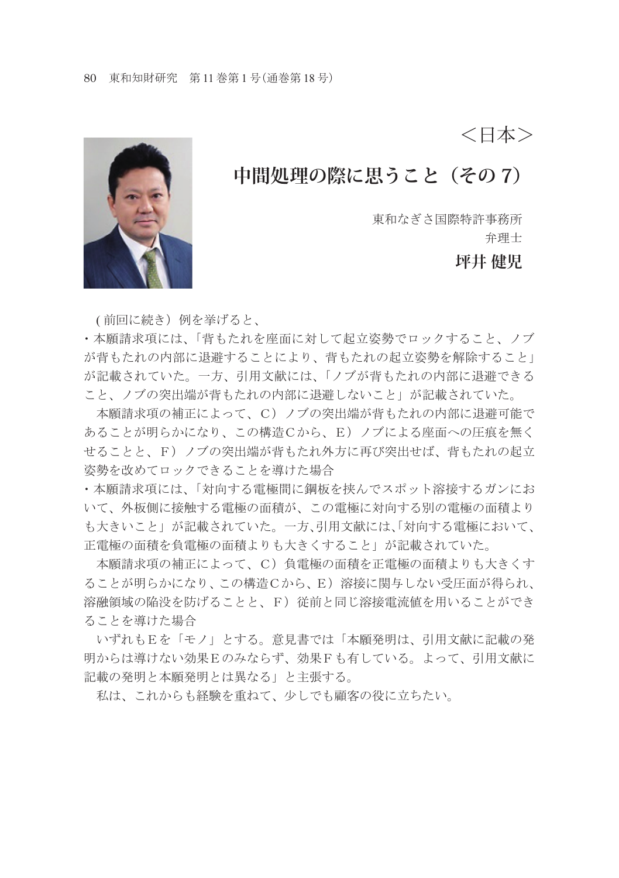<日本>

## **中間処理の際に思うこと(その 7)**

東和なぎさ国際特許事務所 弁理士

**坪井 健児**

( 前回に続き)例を挙げると、

・本願請求項には、「背もたれを座面に対して起立姿勢でロックすること、ノブ が背もたれの内部に退避することにより、背もたれの起立姿勢を解除すること」 が記載されていた。一方、引用文献には、「ノブが背もたれの内部に退避できる こと、ノブの突出端が背もたれの内部に退避しないこと」が記載されていた。

 本願請求項の補正によって、C)ノブの突出端が背もたれの内部に退避可能で あることが明らかになり、この構造Cから、E)ノブによる座面への圧痕を無く せることと、F)ノブの突出端が背もたれ外方に再び突出せば、背もたれの起立 姿勢を改めてロックできることを導けた場合

・本願請求項には、「対向する電極間に鋼板を挟んでスポット溶接するガンにお いて、外板側に接触する電極の面積が、この電極に対向する別の電極の面積より も大きいこと」が記載されていた。一方、引用文献には、「対向する電極において、 正電極の面積を負電極の面積よりも大きくすること」が記載されていた。

 本願請求項の補正によって、C)負電極の面積を正電極の面積よりも大きくす ることが明らかになり、この構造Cから、E)溶接に関与しない受圧面が得られ、 溶融領域の陥没を防げることと、F)従前と同じ溶接電流値を用いることができ ることを導けた場合

 いずれもEを「モノ」とする。意見書では「本願発明は、引用文献に記載の発 明からは導けない効果Eのみならず、効果Fも有している。よって、引用文献に 記載の発明と本願発明とは異なる」と主張する。

私は、これからも経験を重ねて、少しでも顧客の役に立ちたい。